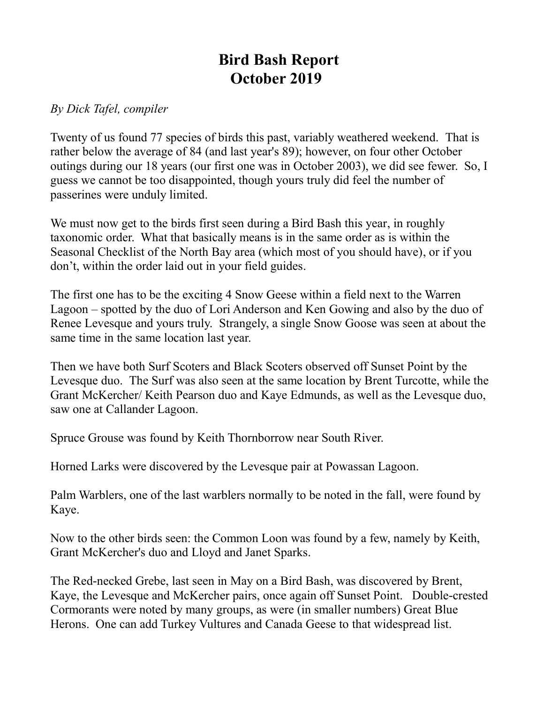## **Bird Bash Report October 2019**

## *By Dick Tafel, compiler*

Twenty of us found 77 species of birds this past, variably weathered weekend. That is rather below the average of 84 (and last year's 89); however, on four other October outings during our 18 years (our first one was in October 2003), we did see fewer. So, I guess we cannot be too disappointed, though yours truly did feel the number of passerines were unduly limited.

We must now get to the birds first seen during a Bird Bash this year, in roughly taxonomic order. What that basically means is in the same order as is within the Seasonal Checklist of the North Bay area (which most of you should have), or if you don't, within the order laid out in your field guides.

The first one has to be the exciting 4 Snow Geese within a field next to the Warren Lagoon – spotted by the duo of Lori Anderson and Ken Gowing and also by the duo of Renee Levesque and yours truly. Strangely, a single Snow Goose was seen at about the same time in the same location last year.

Then we have both Surf Scoters and Black Scoters observed off Sunset Point by the Levesque duo. The Surf was also seen at the same location by Brent Turcotte, while the Grant McKercher/ Keith Pearson duo and Kaye Edmunds, as well as the Levesque duo, saw one at Callander Lagoon.

Spruce Grouse was found by Keith Thornborrow near South River.

Horned Larks were discovered by the Levesque pair at Powassan Lagoon.

Palm Warblers, one of the last warblers normally to be noted in the fall, were found by Kaye.

Now to the other birds seen: the Common Loon was found by a few, namely by Keith, Grant McKercher's duo and Lloyd and Janet Sparks.

The Red-necked Grebe, last seen in May on a Bird Bash, was discovered by Brent, Kaye, the Levesque and McKercher pairs, once again off Sunset Point. Double-crested Cormorants were noted by many groups, as were (in smaller numbers) Great Blue Herons. One can add Turkey Vultures and Canada Geese to that widespread list.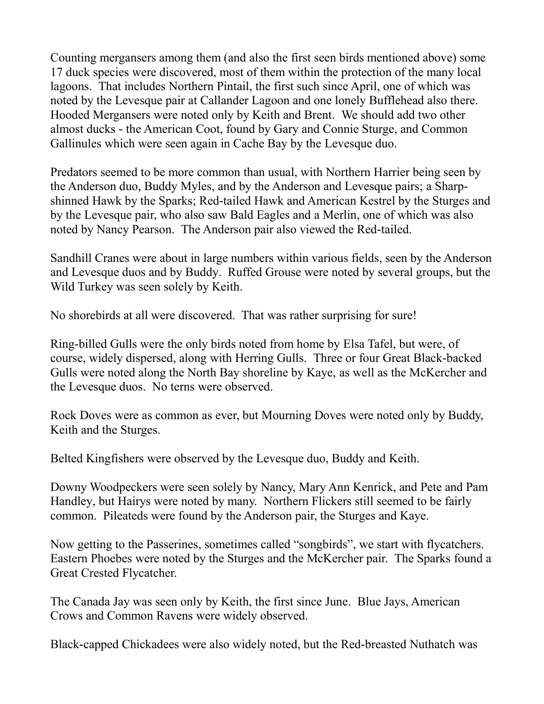Counting mergansers among them (and also the first seen birds mentioned above) some 17 duck species were discovered, most of them within the protection of the many local lagoons. That includes Northern Pintail, the first such since April, one of which was noted by the Levesque pair at Callander Lagoon and one lonely Bufflehead also there. Hooded Mergansers were noted only by Keith and Brent. We should add two other almost ducks - the American Coot, found by Gary and Connie Sturge, and Common Gallinules which were seen again in Cache Bay by the Levesque duo.

Predators seemed to be more common than usual, with Northern Harrier being seen by the Anderson duo, Buddy Myles, and by the Anderson and Levesque pairs; a Sharpshinned Hawk by the Sparks; Red-tailed Hawk and American Kestrel by the Sturges and by the Levesque pair, who also saw Bald Eagles and a Merlin, one of which was also noted by Nancy Pearson. The Anderson pair also viewed the Red-tailed.

Sandhill Cranes were about in large numbers within various fields, seen by the Anderson and Levesque duos and by Buddy. Ruffed Grouse were noted by several groups, but the Wild Turkey was seen solely by Keith.

No shorebirds at all were discovered. That was rather surprising for sure!

Ring-billed Gulls were the only birds noted from home by Elsa Tafel, but were, of course, widely dispersed, along with Herring Gulls. Three or four Great Black-backed Gulls were noted along the North Bay shoreline by Kaye, as well as the McKercher and the Levesque duos. No terns were observed.

Rock Doves were as common as ever, but Mourning Doves were noted only by Buddy, Keith and the Sturges.

Belted Kingfishers were observed by the Levesque duo, Buddy and Keith.

Downy Woodpeckers were seen solely by Nancy, Mary Ann Kenrick, and Pete and Pam Handley, but Hairys were noted by many. Northern Flickers still seemed to be fairly common. Pileateds were found by the Anderson pair, the Sturges and Kaye.

Now getting to the Passerines, sometimes called "songbirds", we start with flycatchers. Eastern Phoebes were noted by the Sturges and the McKercher pair. The Sparks found a Great Crested Flycatcher.

The Canada Jay was seen only by Keith, the first since June. Blue Jays, American Crows and Common Ravens were widely observed.

Black-capped Chickadees were also widely noted, but the Red-breasted Nuthatch was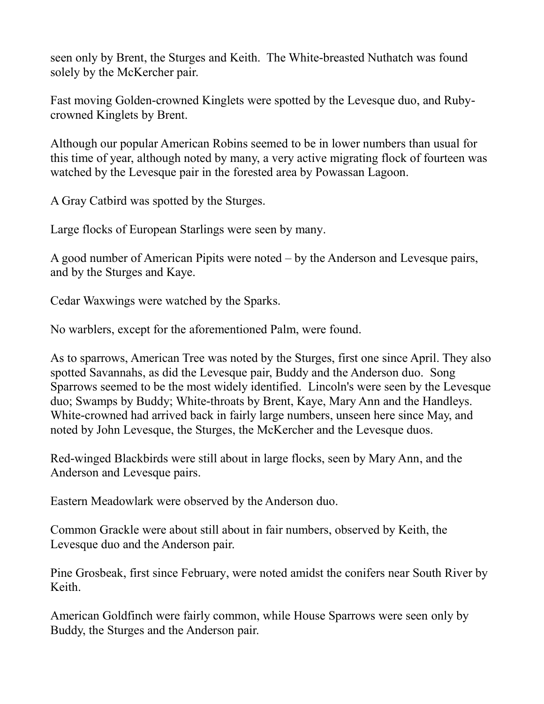seen only by Brent, the Sturges and Keith. The White-breasted Nuthatch was found solely by the McKercher pair.

Fast moving Golden-crowned Kinglets were spotted by the Levesque duo, and Rubycrowned Kinglets by Brent.

Although our popular American Robins seemed to be in lower numbers than usual for this time of year, although noted by many, a very active migrating flock of fourteen was watched by the Levesque pair in the forested area by Powassan Lagoon.

A Gray Catbird was spotted by the Sturges.

Large flocks of European Starlings were seen by many.

A good number of American Pipits were noted – by the Anderson and Levesque pairs, and by the Sturges and Kaye.

Cedar Waxwings were watched by the Sparks.

No warblers, except for the aforementioned Palm, were found.

As to sparrows, American Tree was noted by the Sturges, first one since April. They also spotted Savannahs, as did the Levesque pair, Buddy and the Anderson duo. Song Sparrows seemed to be the most widely identified. Lincoln's were seen by the Levesque duo; Swamps by Buddy; White-throats by Brent, Kaye, Mary Ann and the Handleys. White-crowned had arrived back in fairly large numbers, unseen here since May, and noted by John Levesque, the Sturges, the McKercher and the Levesque duos.

Red-winged Blackbirds were still about in large flocks, seen by Mary Ann, and the Anderson and Levesque pairs.

Eastern Meadowlark were observed by the Anderson duo.

Common Grackle were about still about in fair numbers, observed by Keith, the Levesque duo and the Anderson pair.

Pine Grosbeak, first since February, were noted amidst the conifers near South River by Keith.

American Goldfinch were fairly common, while House Sparrows were seen only by Buddy, the Sturges and the Anderson pair.